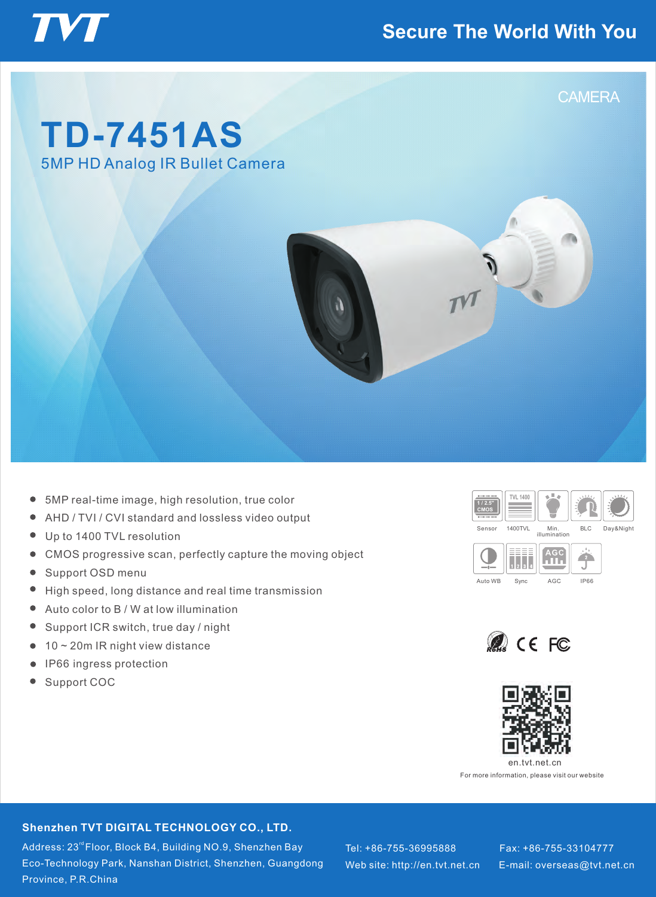## **Secure The World With You**



## **TD-7451AS** 5MP HD Analog IR Bullet Camera

**VT** 



- 5MP real-time image, high resolution, true color
- AHD / TVI / CVI standard and lossless video output
- $\bullet$ Up to 1400 TVL resolution
- CMOS progressive scan, perfectly capture the moving object  $\bullet$
- Support OSD menu  $\bullet$
- $\bullet$ High speed, long distance and real time transmission
- $\bullet$ Auto color to B / W at low illumination
- $\bullet$ Support ICR switch, true day / night
- 10 ~ 20m IR night view distance  $\bullet$
- IP66 ingress protection  $\bullet$
- $\bullet$ Support COC







For more information, please visit our website

#### **Shenzhen TVT DIGITAL TECHNOLOGY CO., LTD.**

Address: 23<sup>rd</sup> Floor, Block B4, Building NO.9, Shenzhen Bay Eco-Technology Park, Nanshan District, Shenzhen, Guangdong Province, P.R.China

Tel: +86-755-36995888 Fax: +86-755-33104777 Web site: http://en.tvt.net.cn

E-mail: overseas@tvt.net.cn